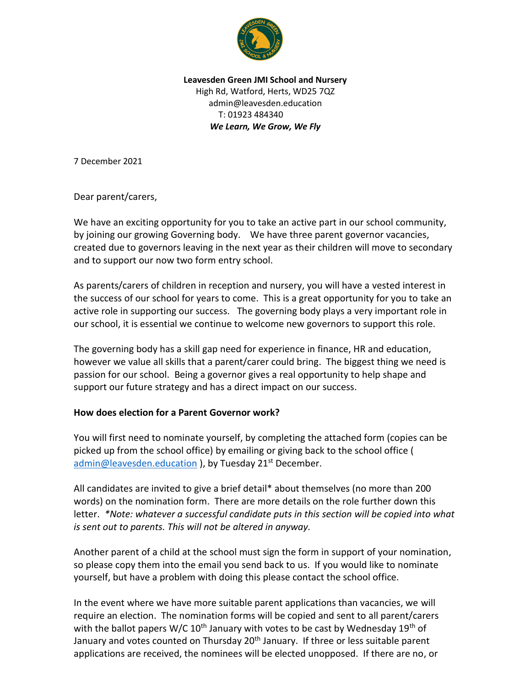

**Leavesden Green JMI School and Nursery** High Rd, Watford, Herts, WD25 7QZ admin@leavesden.education T: 01923 484340 *We Learn, We Grow, We Fly*

7 December 2021

Dear parent/carers,

We have an exciting opportunity for you to take an active part in our school community, by joining our growing Governing body. We have three parent governor vacancies, created due to governors leaving in the next year as their children will move to secondary and to support our now two form entry school.

As parents/carers of children in reception and nursery, you will have a vested interest in the success of our school for years to come. This is a great opportunity for you to take an active role in supporting our success. The governing body plays a very important role in our school, it is essential we continue to welcome new governors to support this role.

The governing body has a skill gap need for experience in finance, HR and education, however we value all skills that a parent/carer could bring. The biggest thing we need is passion for our school. Being a governor gives a real opportunity to help shape and support our future strategy and has a direct impact on our success.

## **How does election for a Parent Governor work?**

You will first need to nominate yourself, by completing the attached form (copies can be picked up from the school office) by emailing or giving back to the school office ( [admin@leavesden.education](mailto:admin@leavesden.education) ), by Tuesday 21<sup>st</sup> December.

All candidates are invited to give a brief detail\* about themselves (no more than 200 words) on the nomination form. There are more details on the role further down this letter. *\*Note: whatever a successful candidate puts in this section will be copied into what is sent out to parents. This will not be altered in anyway.* 

Another parent of a child at the school must sign the form in support of your nomination, so please copy them into the email you send back to us. If you would like to nominate yourself, but have a problem with doing this please contact the school office.

In the event where we have more suitable parent applications than vacancies, we will require an election. The nomination forms will be copied and sent to all parent/carers with the ballot papers W/C  $10<sup>th</sup>$  January with votes to be cast by Wednesday  $19<sup>th</sup>$  of January and votes counted on Thursday 20<sup>th</sup> January. If three or less suitable parent applications are received, the nominees will be elected unopposed. If there are no, or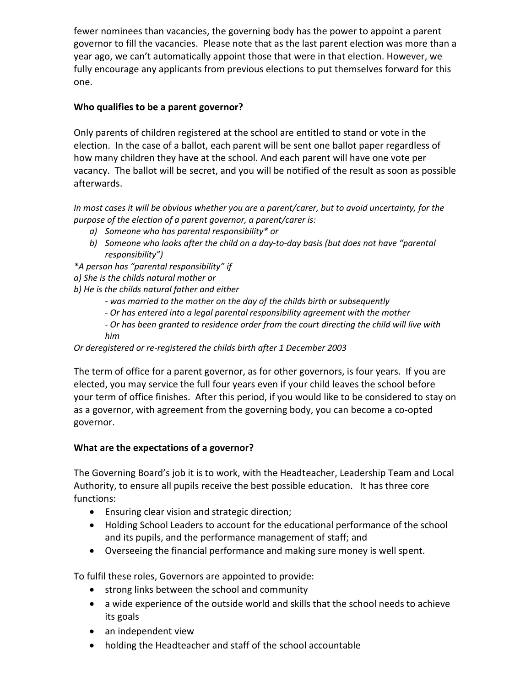fewer nominees than vacancies, the governing body has the power to appoint a parent governor to fill the vacancies. Please note that as the last parent election was more than a year ago, we can't automatically appoint those that were in that election. However, we fully encourage any applicants from previous elections to put themselves forward for this one.

# **Who qualifies to be a parent governor?**

Only parents of children registered at the school are entitled to stand or vote in the election. In the case of a ballot, each parent will be sent one ballot paper regardless of how many children they have at the school. And each parent will have one vote per vacancy. The ballot will be secret, and you will be notified of the result as soon as possible afterwards.

*In most cases it will be obvious whether you are a parent/carer, but to avoid uncertainty, for the purpose of the election of a parent governor, a parent/carer is:*

- *a) Someone who has parental responsibility\* or*
- *b) Someone who looks after the child on a day-to-day basis (but does not have "parental responsibility")*
- *\*A person has "parental responsibility" if*
- *a) She is the childs natural mother or*
- *b) He is the childs natural father and either*
	- *- was married to the mother on the day of the childs birth or subsequently*
	- *- Or has entered into a legal parental responsibility agreement with the mother*
	- *- Or has been granted to residence order from the court directing the child will live with him*

## *Or deregistered or re-registered the childs birth after 1 December 2003*

The term of office for a parent governor, as for other governors, is four years. If you are elected, you may service the full four years even if your child leaves the school before your term of office finishes. After this period, if you would like to be considered to stay on as a governor, with agreement from the governing body, you can become a co-opted governor.

## **What are the expectations of a governor?**

The Governing Board's job it is to work, with the Headteacher, Leadership Team and Local Authority, to ensure all pupils receive the best possible education. It has three core functions:

- Ensuring clear vision and strategic direction;
- Holding School Leaders to account for the educational performance of the school and its pupils, and the performance management of staff; and
- Overseeing the financial performance and making sure money is well spent.

To fulfil these roles, Governors are appointed to provide:

- strong links between the school and community
- a wide experience of the outside world and skills that the school needs to achieve its goals
- an independent view
- holding the Headteacher and staff of the school accountable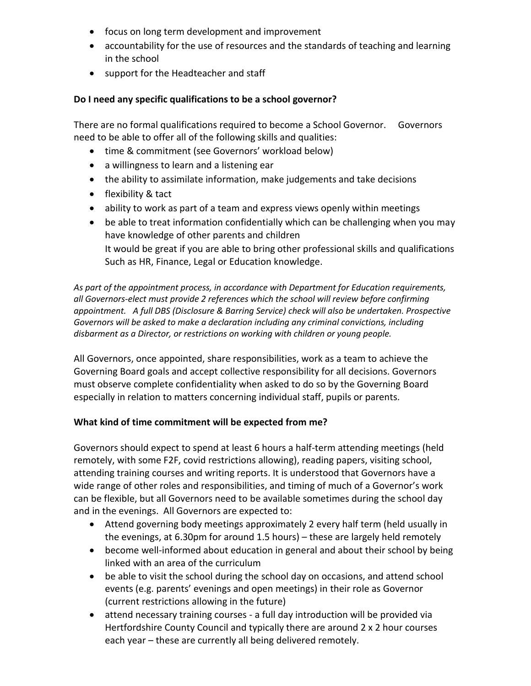- focus on long term development and improvement
- accountability for the use of resources and the standards of teaching and learning in the school
- support for the Headteacher and staff

#### **Do I need any specific qualifications to be a school governor?**

There are no formal qualifications required to become a School Governor. Governors need to be able to offer all of the following skills and qualities:

- time & commitment (see Governors' workload below)
- a willingness to learn and a listening ear
- the ability to assimilate information, make judgements and take decisions
- flexibility & tact
- ability to work as part of a team and express views openly within meetings
- be able to treat information confidentially which can be challenging when you may have knowledge of other parents and children It would be great if you are able to bring other professional skills and qualifications Such as HR, Finance, Legal or Education knowledge.

*As part of the appointment process, in accordance with Department for Education requirements, all Governors-elect must provide 2 references which the school will review before confirming appointment. A full DBS (Disclosure & Barring Service) check will also be undertaken. Prospective Governors will be asked to make a declaration including any criminal convictions, including disbarment as a Director, or restrictions on working with children or young people.* 

All Governors, once appointed, share responsibilities, work as a team to achieve the Governing Board goals and accept collective responsibility for all decisions. Governors must observe complete confidentiality when asked to do so by the Governing Board especially in relation to matters concerning individual staff, pupils or parents.

#### **What kind of time commitment will be expected from me?**

Governors should expect to spend at least 6 hours a half-term attending meetings (held remotely, with some F2F, covid restrictions allowing), reading papers, visiting school, attending training courses and writing reports. It is understood that Governors have a wide range of other roles and responsibilities, and timing of much of a Governor's work can be flexible, but all Governors need to be available sometimes during the school day and in the evenings. All Governors are expected to:

- Attend governing body meetings approximately 2 every half term (held usually in the evenings, at 6.30pm for around 1.5 hours) – these are largely held remotely
- become well-informed about education in general and about their school by being linked with an area of the curriculum
- be able to visit the school during the school day on occasions, and attend school events (e.g. parents' evenings and open meetings) in their role as Governor (current restrictions allowing in the future)
- attend necessary training courses a full day introduction will be provided via Hertfordshire County Council and typically there are around 2 x 2 hour courses each year – these are currently all being delivered remotely.